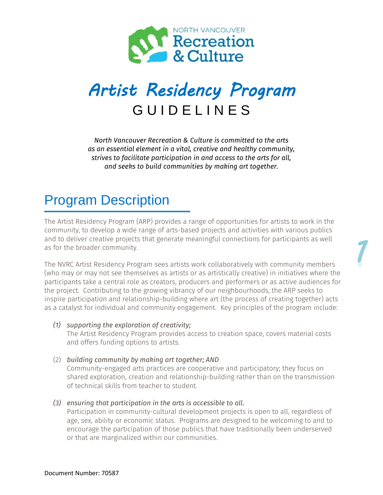

## *Artist Residency Program*  G U I D E L I N E S

*North Vancouver Recreation & Culture is committed to the arts as an essential element in a vital, creative and healthy community, strives to facilitate participation in and access to the arts for all, and seeks to build communities by making art together.*

## Program Description

The Artist Residency Program (ARP) provides a range of opportunities for artists to work in the community, to develop a wide range of arts-based projects and activities with various publics and to deliver creative projects that generate meaningful connections for participants as well as for the broader community.

The NVRC Artist Residency Program sees artists work collaboratively with community members (who may or may not see themselves as artists or as artistically creative) in initiatives where the participants take a central role as creators, producers and performers or as active audiences for the project. Contributing to the growing vibrancy of our neighbourhoods, the ARP seeks to inspire participation and relationship-building where art (the process of creating together) acts as a catalyst for individual and community engagement. Key principles of the program include:

#### *(1) supporting the exploration of creativity;*

The Artist Residency Program provides access to creation space, covers material costs and offers funding options to artists.

(2) *building community by making art together; AND*

Community-engaged arts practices are cooperative and participatory; they focus on shared exploration, creation and relationship-building rather than on the transmission of technical skills from teacher to student.

*(3) ensuring that participation in the arts is accessible to all.*

Participation in community-cultural development projects is open to all, regardless of age, sex, ability or economic status. Programs are designed to be welcoming to and to encourage the participation of those publics that have traditionally been underserved or that are marginalized within our communities.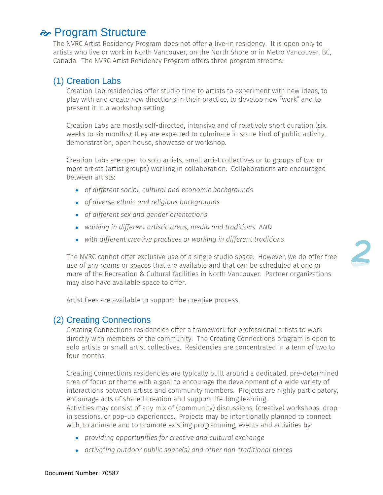#### $\approx$  **Program Structure**

The NVRC Artist Residency Program does not offer a live-in residency. It is open only to artists who live or work in North Vancouver, on the North Shore or in Metro Vancouver, BC, Canada. The NVRC Artist Residency Program offers three program streams:

#### (1) Creation Labs

Creation Lab residencies offer studio time to artists to experiment with new ideas, to play with and create new directions in their practice, to develop new "work" and to present it in a workshop setting.

Creation Labs are mostly self-directed, intensive and of relatively short duration (six weeks to six months); they are expected to culminate in some kind of public activity, demonstration, open house, showcase or workshop.

Creation Labs are open to solo artists, small artist collectives or to groups of two or more artists (artist groups) working in collaboration. Collaborations are encouraged between artists:

- *of different social, cultural and economic backgrounds*
- *of diverse ethnic and religious backgrounds*
- *of different sex and gender orientations*
- *working in different artistic areas, media and traditions AND*
- *with different creative practices or working in different traditions*

The NVRC cannot offer exclusive use of a single studio space. However, we do offer free use of any rooms or spaces that are available and that can be scheduled at one or more of the Recreation & Cultural facilities in North Vancouver. Partner organizations may also have available space to offer.

Artist Fees are available to support the creative process.

#### (2) Creating Connections

Creating Connections residencies offer a framework for professional artists to work directly with members of the community. The Creating Connections program is open to solo artists or small artist collectives. Residencies are concentrated in a term of two to four months.

Creating Connections residencies are typically built around a dedicated, pre-determined area of focus or theme with a goal to encourage the development of a wide variety of interactions between artists and community members. Projects are highly participatory, encourage acts of shared creation and support life-long learning.

Activities may consist of any mix of (community) discussions, (creative) workshops, dropin sessions, or pop-up experiences. Projects may be intentionally planned to connect with, to animate and to promote existing programming, events and activities by:

- *providing opportunities for creative and cultural exchange*
- *activating outdoor public space(s) and other non-traditional places*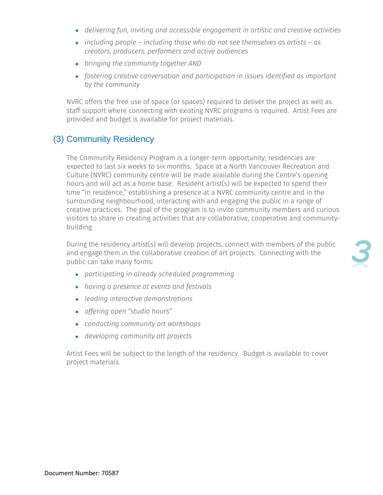- *delivering fun, inviting and accessible engagement in artistic and creative activities*
- *including people – including those who do not see themselves as artists – as creators, producers, performers and active audiences*
- *bringing the community together AND*
- *fostering creative conversation and participation in issues identified as important by the community*

NVRC offers the free use of space (or spaces) required to deliver the project as well as staff support where connecting with existing NVRC programs is required. Artist Fees are provided and budget is available for project materials.

#### (3) Community Residency

The Community Residency Program is a longer-term opportunity; residencies are expected to last six weeks to six months. Space at a North Vancouver Recreation and Culture (NVRC) community centre will be made available during the Centre's opening hours and will act as a home base. Resident artist(s) will be expected to spend their time "in residence," establishing a presence at a NVRC community centre and in the surrounding neighbourhood, interacting with and engaging the public in a range of creative practices. The goal of the program is to invite community members and curious visitors to share in creating activities that are collaborative, cooperative and communitybuilding.

During the residency artist(s) will develop projects, connect with members of the public and engage them in the collaborative creation of art projects. Connecting with the public can take many forms:

- *participating in already scheduled programming*
- *having a presence at events and festivals*
- *leading interactive demonstrations*
- *offering open "studio hours"*
- *conducting community art workshops*
- *developing community art projects*

Artist Fees will be subject to the length of the residency. Budget is available to cover project materials.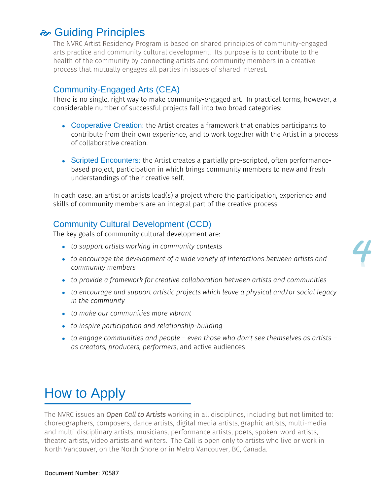### $\approx$  **Guiding Principles**

The NVRC Artist Residency Program is based on shared principles of community-engaged arts practice and community cultural development. Its purpose is to contribute to the health of the community by connecting artists and community members in a creative process that mutually engages all parties in issues of shared interest.

#### Community-Engaged Arts (CEA)

There is no single, right way to make community-engaged art. In practical terms, however, a considerable number of successful projects fall into two broad categories:

- Cooperative Creation: the Artist creates a framework that enables participants to contribute from their own experience, and to work together with the Artist in a process of collaborative creation.
- Scripted Encounters: the Artist creates a partially pre-scripted, often performancebased project, participation in which brings community members to new and fresh understandings of their creative self.

In each case, an artist or artists lead(s) a project where the participation, experience and skills of community members are an integral part of the creative process.

#### Community Cultural Development (CCD)

The key goals of community cultural development are:

- *to support artists working in community contexts*
- *to encourage the development of a wide variety of interactions between artists and community members*
- *to provide a framework for creative collaboration between artists and communities*
- *to encourage and support artistic projects which leave a physical and/or social legacy in the community*
- *to make our communities more vibrant*
- *to inspire participation and relationship-building*
- *to engage communities and people – even those who don't see themselves as artists – as creators, producers, performers*, and active audiences

## How to Apply

The NVRC issues an *Open Call to Artists* working in all disciplines, including but not limited to: choreographers, composers, dance artists, digital media artists, graphic artists, multi-media and multi-disciplinary artists, musicians, performance artists, poets, spoken-word artists, theatre artists, video artists and writers. The Call is open only to artists who live or work in North Vancouver, on the North Shore or in Metro Vancouver, BC, Canada.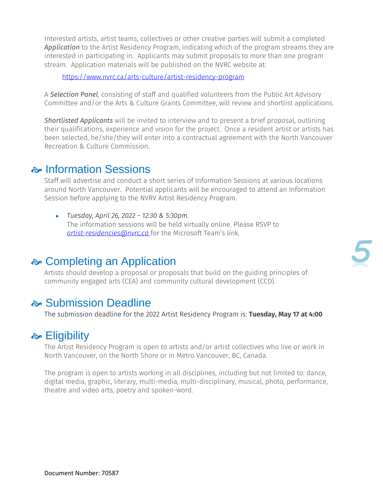Interested artists, artist teams, collectives or other creative parties will submit a completed *Application* to the Artist Residency Program, indicating which of the program streams they are interested in participating in. Applicants may submit proposals to more than one program stream. Application materials will be published on the NVRC website at:

<https://www.nvrc.ca/arts-culture/artist-residency-program>

A *Selection Panel*, consisting of staff and qualified volunteers from the Public Art Advisory Committee and/or the Arts & Culture Grants Committee, will review and shortlist applications.

*Shortlisted Applicants* will be invited to interview and to present a brief proposal, outlining their qualifications, experience and vision for the project. Once a resident artist or artists has been selected, he/she/they will enter into a contractual agreement with the North Vancouver Recreation & Culture Commission.

#### Information Sessions

Staff will advertise and conduct a short series of Information Sessions at various locations around North Vancouver. Potential applicants will be encouraged to attend an Information Session before applying to the NVRV Artist Residency Program.

 *Tuesday, April 26, 2022 ~ 12:30 & 5:30pm.* The information sessions will be held virtually online. Please RSVP to *[artist-residencies@nvrc.ca](mailto:artist-residencies@nvrc.ca)* for the Microsoft Team's link.

#### **<del></del> Completing an Application**

Artists should develop a proposal or proposals that build on the guiding principles of community engaged arts (CEA) and community cultural development (CCD).

#### Submission Deadline

The submission deadline for the 2022 Artist Residency Program is: **Tuesday, May 17 at 4:00**

#### $\approx$  **Eligibility**

The Artist Residency Program is open to artists and/or artist collectives who live or work in North Vancouver, on the North Shore or in Metro Vancouver, BC, Canada.

The program is open to artists working in all disciplines, including but not limited to: dance, digital media, graphic, literary, multi-media, multi-disciplinary, musical, photo, performance, theatre and video arts, poetry and spoken-word.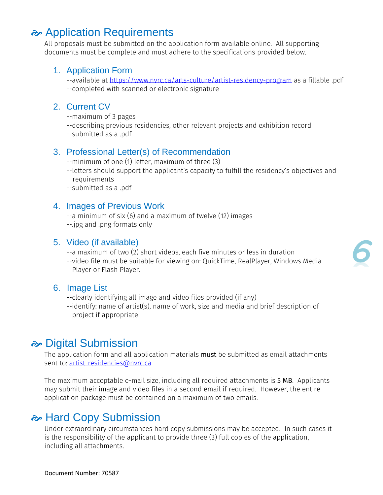### **Application Requirements**

All proposals must be submitted on the application form available online. All supporting documents must be complete and must adhere to the specifications provided below.

#### 1. Application Form

--available at<https://www.nvrc.ca/arts-culture/artist-residency-program> as a fillable .pdf --completed with scanned or electronic signature

#### 2. Current CV

- --maximum of 3 pages
- --describing previous residencies, other relevant projects and exhibition record
- --submitted as a .pdf

#### 3. Professional Letter(s) of Recommendation

- --minimum of one (1) letter, maximum of three (3)
- --letters should support the applicant's capacity to fulfill the residency's objectives and requirements
- --submitted as a .pdf

#### 4. Images of Previous Work

- --a minimum of six (6) and a maximum of twelve (12) images
- --.jpg and .png formats only

#### 5. Video (if available)

- --a maximum of two (2) short videos, each five minutes or less in duration
- --video file must be suitable for viewing on: QuickTime, RealPlayer, Windows Media Player or Flash Player.

#### 6. Image List

- --clearly identifying all image and video files provided (if any)
- --identify: name of artist(s), name of work, size and media and brief description of project if appropriate

#### Digital Submission

The application form and all application materials **must** be submitted as email attachments sent to: [artist-residencies@nvrc.ca](mailto:artist-residencies@nvrc.ca)

The maximum acceptable e-mail size, including all required attachments is 5 MB. Applicants may submit their image and video files in a second email if required. However, the entire application package must be contained on a maximum of two emails.

#### **A** Hard Copy Submission

Under extraordinary circumstances hard copy submissions may be accepted. In such cases it is the responsibility of the applicant to provide three (3) full copies of the application, including all attachments.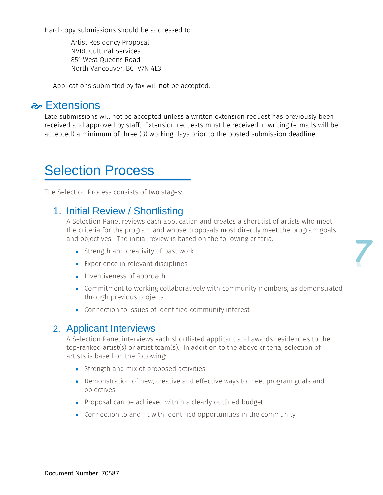Hard copy submissions should be addressed to:

Artist Residency Proposal NVRC Cultural Services 851 West Queens Road North Vancouver, BC V7N 4E3

Applications submitted by fax will not be accepted.

#### **Referencions**

Late submissions will not be accepted unless a written extension request has previously been received and approved by staff. Extension requests must be received in writing (e-mails will be accepted) a minimum of three (3) working days prior to the posted submission deadline.

## Selection Process

The Selection Process consists of two stages:

#### 1. Initial Review / Shortlisting

A Selection Panel reviews each application and creates a short list of artists who meet the criteria for the program and whose proposals most directly meet the program goals and objectives. The initial review is based on the following criteria:

- Strength and creativity of past work
- Experience in relevant disciplines
- Inventiveness of approach
- Commitment to working collaboratively with community members, as demonstrated through previous projects

*7*

Connection to issues of identified community interest

#### 2. Applicant Interviews

A Selection Panel interviews each shortlisted applicant and awards residencies to the top-ranked artist(s) or artist team(s). In addition to the above criteria, selection of artists is based on the following:

- Strength and mix of proposed activities
- Demonstration of new, creative and effective ways to meet program goals and objectives
- Proposal can be achieved within a clearly outlined budget
- Connection to and fit with identified opportunities in the community

Document Number: 70587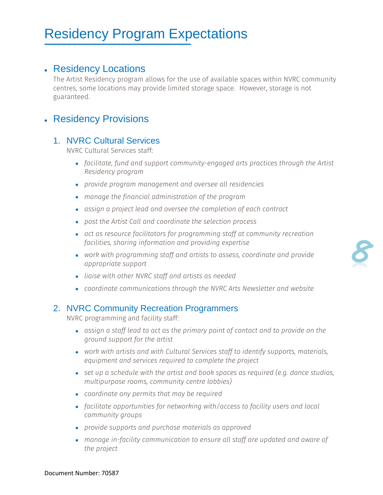## Residency Program Expectations

#### Residency Locations

The Artist Residency program allows for the use of available spaces within NVRC community centres, some locations may provide limited storage space. However, storage is not guaranteed.

#### Residency Provisions

#### 1. NVRC Cultural Services

NVRC Cultural Services staff:

- *facilitate, fund and support community-engaged arts practices through the Artist Residency program*
- *provide program management and oversee all residencies*
- *manage the financial administration of the program*
- *assign a project lead and oversee the completion of each contract*
- *post the Artist Call and coordinate the selection process*
- *act as resource facilitators for programming staff at community recreation facilities, sharing information and providing expertise*
- *work with programming staff and artists to assess, coordinate and provide appropriate support*
- *liaise with other NVRC staff and artists as needed*
- *coordinate communications through the NVRC Arts Newsletter and website*

#### 2. NVRC Community Recreation Programmers

NVRC programming and facility staff:

- *assign a staff lead to act as the primary point of contact and to provide on the ground support for the artist*
- *work with artists and with Cultural Services staff to identify supports, materials, equipment and services required to complete the project*
- *set up a schedule with the artist and book spaces as required (e.g. dance studios, multipurpose rooms, community centre lobbies)*
- *coordinate any permits that may be required*
- *facilitate opportunities for networking with/access to facility users and local community groups*
- *provide supports and purchase materials as approved*
- *manage in-facility communication to ensure all staff are updated and aware of the project*